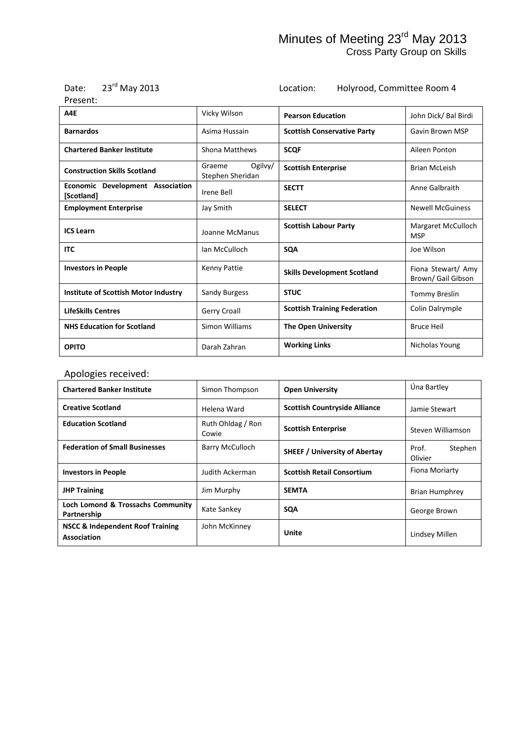| $23rd$ May 201<br>Date: |
|-------------------------|
|-------------------------|

Location: Holyrood, Committee Room 4

| Present:                                       |                                       |                                     |                                         |
|------------------------------------------------|---------------------------------------|-------------------------------------|-----------------------------------------|
| A4E                                            | Vicky Wilson                          | <b>Pearson Education</b>            | John Dick/ Bal Birdi                    |
| <b>Barnardos</b>                               | Asima Hussain                         | <b>Scottish Conservative Party</b>  | Gavin Brown MSP                         |
| <b>Chartered Banker Institute</b>              | Shona Matthews                        | <b>SCOF</b>                         | Aileen Ponton                           |
| <b>Construction Skills Scotland</b>            | Graeme<br>Ogilvy/<br>Stephen Sheridan | <b>Scottish Enterprise</b>          | <b>Brian McLeish</b>                    |
| Economic Development Association<br>[Scotland] | Irene Bell                            | <b>SECTT</b>                        | Anne Galbraith                          |
| <b>Employment Enterprise</b>                   | Jay Smith                             | <b>SELECT</b>                       | <b>Newell McGuiness</b>                 |
| <b>ICS Learn</b>                               | Joanne McManus                        | <b>Scottish Labour Party</b>        | Margaret McCulloch<br><b>MSP</b>        |
| <b>ITC</b>                                     | Ian McCulloch                         | <b>SQA</b>                          | Joe Wilson                              |
| <b>Investors in People</b>                     | Kenny Pattie                          | <b>Skills Development Scotland</b>  | Fiona Stewart/ Amy<br>Brown/Gail Gibson |
| Institute of Scottish Motor Industry           | Sandy Burgess                         | <b>STUC</b>                         | <b>Tommy Breslin</b>                    |
| <b>LifeSkills Centres</b>                      | Gerry Croall                          | <b>Scottish Training Federation</b> | Colin Dalrymple                         |
| <b>NHS Education for Scotland</b>              | Simon Williams                        | <b>The Open University</b>          | <b>Bruce Heil</b>                       |
| <b>OPITO</b>                                   | Darah Zahran                          | <b>Working Links</b>                | Nicholas Young                          |

### Apologies received:

| <b>Chartered Banker Institute</b>                          | Simon Thompson             | <b>Open University</b>               | Úna Bartley                 |
|------------------------------------------------------------|----------------------------|--------------------------------------|-----------------------------|
| <b>Creative Scotland</b>                                   | Helena Ward                | <b>Scottish Countryside Alliance</b> | Jamie Stewart               |
| <b>Education Scotland</b>                                  | Ruth Ohldag / Ron<br>Cowie | <b>Scottish Enterprise</b>           | Steven Williamson           |
| <b>Federation of Small Businesses</b>                      | Barry McCulloch            | <b>SHEEF / University of Abertay</b> | Prof.<br>Stephen<br>Olivier |
| <b>Investors in People</b>                                 | Judith Ackerman            | <b>Scottish Retail Consortium</b>    | Fiona Moriarty              |
| <b>JHP Training</b>                                        | Jim Murphy                 | <b>SEMTA</b>                         | <b>Brian Humphrey</b>       |
| Loch Lomond & Trossachs Community<br>Partnership           | Kate Sankey                | <b>SQA</b>                           | George Brown                |
| <b>NSCC &amp; Independent Roof Training</b><br>Association | John McKinney              | Unite                                | Lindsey Millen              |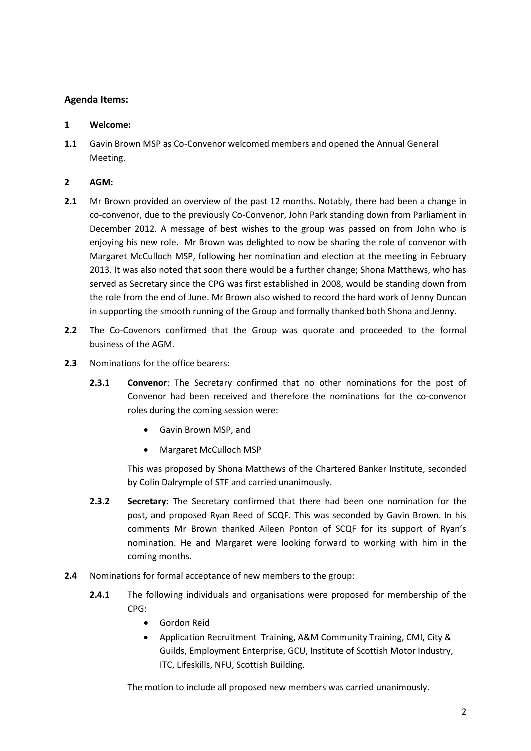#### **Agenda Items:**

#### **1 Welcome:**

**1.1** Gavin Brown MSP as Co-Convenor welcomed members and opened the Annual General Meeting.

#### **2 AGM:**

- **2.1** Mr Brown provided an overview of the past 12 months. Notably, there had been a change in co-convenor, due to the previously Co-Convenor, John Park standing down from Parliament in December 2012. A message of best wishes to the group was passed on from John who is enjoying his new role. Mr Brown was delighted to now be sharing the role of convenor with Margaret McCulloch MSP, following her nomination and election at the meeting in February 2013. It was also noted that soon there would be a further change; Shona Matthews, who has served as Secretary since the CPG was first established in 2008, would be standing down from the role from the end of June. Mr Brown also wished to record the hard work of Jenny Duncan in supporting the smooth running of the Group and formally thanked both Shona and Jenny.
- **2.2** The Co-Covenors confirmed that the Group was quorate and proceeded to the formal business of the AGM.
- **2.3** Nominations for the office bearers:
	- **2.3.1 Convenor**: The Secretary confirmed that no other nominations for the post of Convenor had been received and therefore the nominations for the co-convenor roles during the coming session were:
		- Gavin Brown MSP, and
		- Margaret McCulloch MSP

This was proposed by Shona Matthews of the Chartered Banker Institute, seconded by Colin Dalrymple of STF and carried unanimously.

- **2.3.2 Secretary:** The Secretary confirmed that there had been one nomination for the post, and proposed Ryan Reed of SCQF. This was seconded by Gavin Brown. In his comments Mr Brown thanked Aileen Ponton of SCQF for its support of Ryan's nomination. He and Margaret were looking forward to working with him in the coming months.
- **2.4** Nominations for formal acceptance of new members to the group:
	- **2.4.1** The following individuals and organisations were proposed for membership of the CPG:
		- Gordon Reid
		- Application Recruitment Training, A&M Community Training, CMI, City & Guilds, Employment Enterprise, GCU, Institute of Scottish Motor Industry, ITC, Lifeskills, NFU, Scottish Building.

The motion to include all proposed new members was carried unanimously.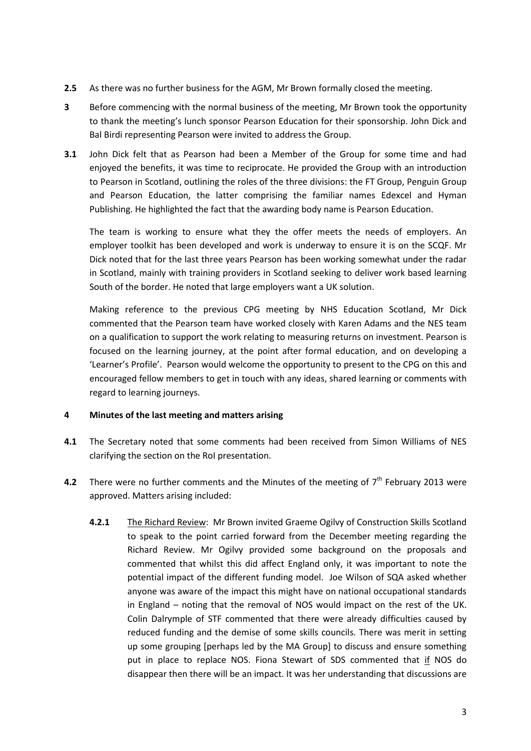- **2.5** As there was no further business for the AGM, Mr Brown formally closed the meeting.
- **3** Before commencing with the normal business of the meeting, Mr Brown took the opportunity to thank the meeting's lunch sponsor Pearson Education for their sponsorship. John Dick and Bal Birdi representing Pearson were invited to address the Group.
- **3.1** John Dick felt that as Pearson had been a Member of the Group for some time and had enjoyed the benefits, it was time to reciprocate. He provided the Group with an introduction to Pearson in Scotland, outlining the roles of the three divisions: the FT Group, Penguin Group and Pearson Education, the latter comprising the familiar names Edexcel and Hyman Publishing. He highlighted the fact that the awarding body name is Pearson Education.

The team is working to ensure what they the offer meets the needs of employers. An employer toolkit has been developed and work is underway to ensure it is on the SCQF. Mr Dick noted that for the last three years Pearson has been working somewhat under the radar in Scotland, mainly with training providers in Scotland seeking to deliver work based learning South of the border. He noted that large employers want a UK solution.

Making reference to the previous CPG meeting by NHS Education Scotland, Mr Dick commented that the Pearson team have worked closely with Karen Adams and the NES team on a qualification to support the work relating to measuring returns on investment. Pearson is focused on the learning journey, at the point after formal education, and on developing a 'Learner's Profile'. Pearson would welcome the opportunity to present to the CPG on this and encouraged fellow members to get in touch with any ideas, shared learning or comments with regard to learning journeys.

#### **4 Minutes of the last meeting and matters arising**

- **4.1** The Secretary noted that some comments had been received from Simon Williams of NES clarifying the section on the RoI presentation.
- 4.2 There were no further comments and the Minutes of the meeting of 7<sup>th</sup> February 2013 were approved. Matters arising included:
	- **4.2.1** The Richard Review: Mr Brown invited Graeme Ogilvy of Construction Skills Scotland to speak to the point carried forward from the December meeting regarding the Richard Review. Mr Ogilvy provided some background on the proposals and commented that whilst this did affect England only, it was important to note the potential impact of the different funding model. Joe Wilson of SQA asked whether anyone was aware of the impact this might have on national occupational standards in England – noting that the removal of NOS would impact on the rest of the UK. Colin Dalrymple of STF commented that there were already difficulties caused by reduced funding and the demise of some skills councils. There was merit in setting up some grouping [perhaps led by the MA Group] to discuss and ensure something put in place to replace NOS. Fiona Stewart of SDS commented that if NOS do disappear then there will be an impact. It was her understanding that discussions are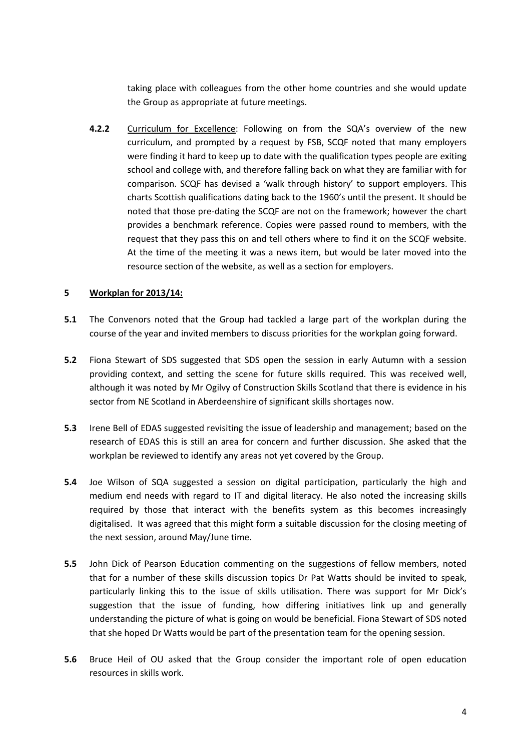taking place with colleagues from the other home countries and she would update the Group as appropriate at future meetings.

**4.2.2** Curriculum for Excellence: Following on from the SQA's overview of the new curriculum, and prompted by a request by FSB, SCQF noted that many employers were finding it hard to keep up to date with the qualification types people are exiting school and college with, and therefore falling back on what they are familiar with for comparison. SCQF has devised a 'walk through history' to support employers. This charts Scottish qualifications dating back to the 1960's until the present. It should be noted that those pre-dating the SCQF are not on the framework; however the chart provides a benchmark reference. Copies were passed round to members, with the request that they pass this on and tell others where to find it on the SCQF website. At the time of the meeting it was a news item, but would be later moved into the resource section of the website, as well as a section for employers.

#### **5 Workplan for 2013/14:**

- **5.1** The Convenors noted that the Group had tackled a large part of the workplan during the course of the year and invited members to discuss priorities for the workplan going forward.
- **5.2** Fiona Stewart of SDS suggested that SDS open the session in early Autumn with a session providing context, and setting the scene for future skills required. This was received well, although it was noted by Mr Ogilvy of Construction Skills Scotland that there is evidence in his sector from NE Scotland in Aberdeenshire of significant skills shortages now.
- **5.3** Irene Bell of EDAS suggested revisiting the issue of leadership and management; based on the research of EDAS this is still an area for concern and further discussion. She asked that the workplan be reviewed to identify any areas not yet covered by the Group.
- **5.4** Joe Wilson of SQA suggested a session on digital participation, particularly the high and medium end needs with regard to IT and digital literacy. He also noted the increasing skills required by those that interact with the benefits system as this becomes increasingly digitalised. It was agreed that this might form a suitable discussion for the closing meeting of the next session, around May/June time.
- **5.5** John Dick of Pearson Education commenting on the suggestions of fellow members, noted that for a number of these skills discussion topics Dr Pat Watts should be invited to speak, particularly linking this to the issue of skills utilisation. There was support for Mr Dick's suggestion that the issue of funding, how differing initiatives link up and generally understanding the picture of what is going on would be beneficial. Fiona Stewart of SDS noted that she hoped Dr Watts would be part of the presentation team for the opening session.
- **5.6** Bruce Heil of OU asked that the Group consider the important role of open education resources in skills work.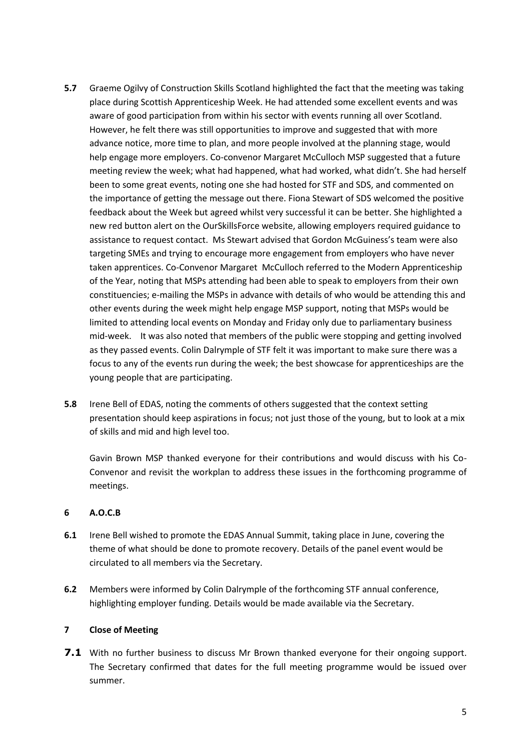- **5.7** Graeme Ogilvy of Construction Skills Scotland highlighted the fact that the meeting was taking place during Scottish Apprenticeship Week. He had attended some excellent events and was aware of good participation from within his sector with events running all over Scotland. However, he felt there was still opportunities to improve and suggested that with more advance notice, more time to plan, and more people involved at the planning stage, would help engage more employers. Co-convenor Margaret McCulloch MSP suggested that a future meeting review the week; what had happened, what had worked, what didn't. She had herself been to some great events, noting one she had hosted for STF and SDS, and commented on the importance of getting the message out there. Fiona Stewart of SDS welcomed the positive feedback about the Week but agreed whilst very successful it can be better. She highlighted a new red button alert on the OurSkillsForce website, allowing employers required guidance to assistance to request contact. Ms Stewart advised that Gordon McGuiness's team were also targeting SMEs and trying to encourage more engagement from employers who have never taken apprentices. Co-Convenor Margaret McCulloch referred to the Modern Apprenticeship of the Year, noting that MSPs attending had been able to speak to employers from their own constituencies; e-mailing the MSPs in advance with details of who would be attending this and other events during the week might help engage MSP support, noting that MSPs would be limited to attending local events on Monday and Friday only due to parliamentary business mid-week. It was also noted that members of the public were stopping and getting involved as they passed events. Colin Dalrymple of STF felt it was important to make sure there was a focus to any of the events run during the week; the best showcase for apprenticeships are the young people that are participating.
- **5.8** Irene Bell of EDAS, noting the comments of others suggested that the context setting presentation should keep aspirations in focus; not just those of the young, but to look at a mix of skills and mid and high level too.

Gavin Brown MSP thanked everyone for their contributions and would discuss with his Co-Convenor and revisit the workplan to address these issues in the forthcoming programme of meetings.

#### **6 A.O.C.B**

- **6.1** Irene Bell wished to promote the EDAS Annual Summit, taking place in June, covering the theme of what should be done to promote recovery. Details of the panel event would be circulated to all members via the Secretary.
- **6.2** Members were informed by Colin Dalrymple of the forthcoming STF annual conference, highlighting employer funding. Details would be made available via the Secretary.

#### **7 Close of Meeting**

**7.1** With no further business to discuss Mr Brown thanked everyone for their ongoing support. The Secretary confirmed that dates for the full meeting programme would be issued over summer.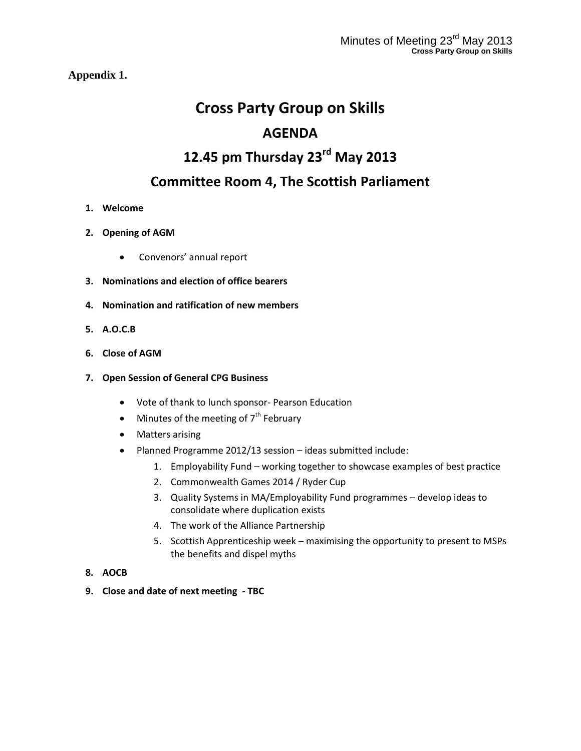**Appendix 1.**

## **Cross Party Group on Skills AGENDA**

# **12.45 pm Thursday 23rd May 2013**

### **Committee Room 4, The Scottish Parliament**

- **1. Welcome**
- **2. Opening of AGM** 
	- Convenors' annual report
- **3. Nominations and election of office bearers**
- **4. Nomination and ratification of new members**
- **5. A.O.C.B**
- **6. Close of AGM**

#### **7. Open Session of General CPG Business**

- Vote of thank to lunch sponsor- Pearson Education
- $\bullet$  Minutes of the meeting of  $7<sup>th</sup>$  February
- Matters arising
- Planned Programme 2012/13 session ideas submitted include:
	- 1. Employability Fund working together to showcase examples of best practice
	- 2. Commonwealth Games 2014 / Ryder Cup
	- 3. Quality Systems in MA/Employability Fund programmes develop ideas to consolidate where duplication exists
	- 4. The work of the Alliance Partnership
	- 5. Scottish Apprenticeship week maximising the opportunity to present to MSPs the benefits and dispel myths
- **8. AOCB**
- **9. Close and date of next meeting - TBC**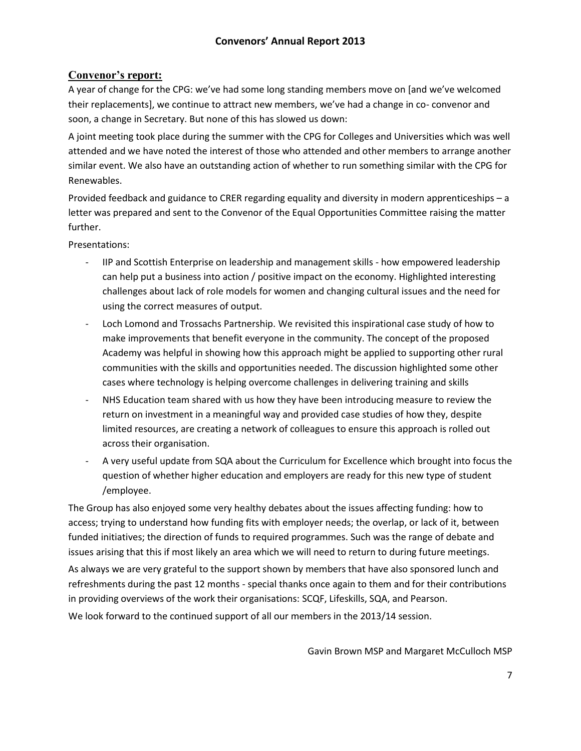#### **Convenor's report:**

A year of change for the CPG: we've had some long standing members move on [and we've welcomed their replacements], we continue to attract new members, we've had a change in co- convenor and soon, a change in Secretary. But none of this has slowed us down:

A joint meeting took place during the summer with the CPG for Colleges and Universities which was well attended and we have noted the interest of those who attended and other members to arrange another similar event. We also have an outstanding action of whether to run something similar with the CPG for Renewables.

Provided feedback and guidance to CRER regarding equality and diversity in modern apprenticeships – a letter was prepared and sent to the Convenor of the Equal Opportunities Committee raising the matter further.

Presentations:

- IIP and Scottish Enterprise on leadership and management skills how empowered leadership can help put a business into action / positive impact on the economy. Highlighted interesting challenges about lack of role models for women and changing cultural issues and the need for using the correct measures of output.
- Loch Lomond and Trossachs Partnership. We revisited this inspirational case study of how to make improvements that benefit everyone in the community. The concept of the proposed Academy was helpful in showing how this approach might be applied to supporting other rural communities with the skills and opportunities needed. The discussion highlighted some other cases where technology is helping overcome challenges in delivering training and skills
- NHS Education team shared with us how they have been introducing measure to review the return on investment in a meaningful way and provided case studies of how they, despite limited resources, are creating a network of colleagues to ensure this approach is rolled out across their organisation.
- A very useful update from SQA about the Curriculum for Excellence which brought into focus the question of whether higher education and employers are ready for this new type of student /employee.

The Group has also enjoyed some very healthy debates about the issues affecting funding: how to access; trying to understand how funding fits with employer needs; the overlap, or lack of it, between funded initiatives; the direction of funds to required programmes. Such was the range of debate and issues arising that this if most likely an area which we will need to return to during future meetings. As always we are very grateful to the support shown by members that have also sponsored lunch and

refreshments during the past 12 months - special thanks once again to them and for their contributions in providing overviews of the work their organisations: SCQF, Lifeskills, SQA, and Pearson. We look forward to the continued support of all our members in the 2013/14 session.

Gavin Brown MSP and Margaret McCulloch MSP